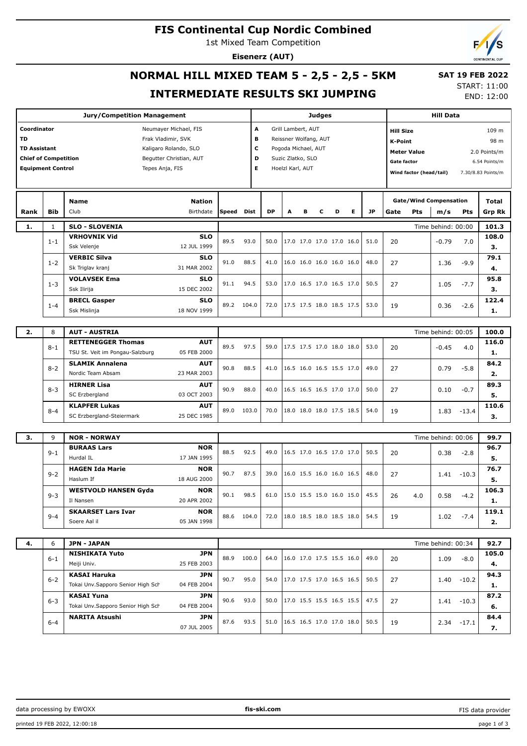## **FIS Continental Cup Nordic Combined**

1st Mixed Team Competition

**Eisenerz (AUT)**



# **NORMAL HILL MIXED TEAM 5 - 2,5 - 2,5 - 5KM**

#### **SAT 19 FEB 2022** START: 11:00

#### **INTERMEDIATE RESULTS SKI JUMPING**

END: 12:00

|                                                                                                                                                                                                                                  |              | <b>Jury/Competition Management</b>                                          |            | Judges     |             |                                                                                                                                      |   |   |   |                          |           | <b>Hill Data</b> |     |                                                                                                                                                    |               |               |
|----------------------------------------------------------------------------------------------------------------------------------------------------------------------------------------------------------------------------------|--------------|-----------------------------------------------------------------------------|------------|------------|-------------|--------------------------------------------------------------------------------------------------------------------------------------|---|---|---|--------------------------|-----------|------------------|-----|----------------------------------------------------------------------------------------------------------------------------------------------------|---------------|---------------|
| Coordinator<br>Neumayer Michael, FIS<br><b>TD</b><br>Frak Vladimir, SVK<br><b>TD Assistant</b><br>Kaligaro Rolando, SLO<br><b>Chief of Competition</b><br>Begutter Christian, AUT<br><b>Equipment Control</b><br>Tepes Anja, FIS |              |                                                                             |            |            |             | A<br>Grill Lambert, AUT<br>в<br>Reissner Wolfang, AUT<br>c<br>Pogoda Michael, AUT<br>D<br>Suzic Zlatko, SLO<br>Е<br>Hoelzl Karl, AUT |   |   |   |                          |           |                  |     | <b>Hill Size</b><br>K-Point<br><b>Meter Value</b><br>2.0 Points/m<br>Gate factor<br>6.54 Points/m<br>Wind factor (head/tail)<br>7.30/8.83 Points/m |               |               |
|                                                                                                                                                                                                                                  |              | <b>Nation</b><br><b>Name</b>                                                |            |            |             |                                                                                                                                      |   |   |   |                          |           |                  |     | <b>Gate/Wind Compensation</b>                                                                                                                      |               | Total         |
| Rank                                                                                                                                                                                                                             | <b>Bib</b>   | Birthdate<br>Club                                                           |            | Speed      | <b>Dist</b> | DP                                                                                                                                   | A | в | c | D<br>Е                   | <b>JP</b> | Gate             | Pts | m/s                                                                                                                                                | Pts           | <b>Grp Rk</b> |
| 1.                                                                                                                                                                                                                               | $\mathbf{1}$ | <b>SLO - SLOVENIA</b>                                                       |            |            |             |                                                                                                                                      |   |   |   |                          |           |                  |     | Time behind: 00:00                                                                                                                                 |               | 101.3         |
|                                                                                                                                                                                                                                  | $1 - 1$      | <b>VRHOVNIK Vid</b>                                                         | <b>SLO</b> | 89.5       | 93.0        | 50.0                                                                                                                                 |   |   |   | 17.0 17.0 17.0 17.0 16.0 | 51.0      | 20               |     | $-0.79$                                                                                                                                            | 7.0           | 108.0         |
|                                                                                                                                                                                                                                  |              | 12 JUL 1999<br>Ssk Velenje                                                  |            |            |             |                                                                                                                                      |   |   |   |                          |           |                  |     |                                                                                                                                                    |               | з.            |
|                                                                                                                                                                                                                                  | $1 - 2$      | <b>VERBIC Silva</b><br>31 MAR 2002<br>Sk Triglav kranj                      | <b>SLO</b> | 91.0       | 88.5        | 41.0                                                                                                                                 |   |   |   | 16.0 16.0 16.0 16.0 16.0 | 48.0      | 27               |     | 1.36                                                                                                                                               | $-9.9$        | 79.1          |
|                                                                                                                                                                                                                                  |              | <b>VOLAVSEK Ema</b>                                                         | <b>SLO</b> |            |             |                                                                                                                                      |   |   |   |                          |           |                  |     |                                                                                                                                                    |               | 4.<br>95.8    |
|                                                                                                                                                                                                                                  | $1 - 3$      | Ssk Ilirija<br>15 DEC 2002                                                  |            | 91.1       | 94.5        | 53.0                                                                                                                                 |   |   |   | 17.0 16.5 17.0 16.5 17.0 | 50.5      | 27               |     | 1.05                                                                                                                                               | $-7.7$        | з.            |
|                                                                                                                                                                                                                                  |              | <b>BRECL Gasper</b>                                                         | <b>SLO</b> |            |             |                                                                                                                                      |   |   |   |                          |           |                  |     |                                                                                                                                                    |               | 122.4         |
|                                                                                                                                                                                                                                  | $1 - 4$      | 18 NOV 1999<br>Ssk Mislinja                                                 |            | 89.2       | 104.0       | 72.0                                                                                                                                 |   |   |   | 17.5 17.5 18.0 18.5 17.5 | 53.0      | 19               |     | 0.36                                                                                                                                               | $-2.6$        | 1.            |
|                                                                                                                                                                                                                                  |              |                                                                             |            |            |             |                                                                                                                                      |   |   |   |                          |           |                  |     |                                                                                                                                                    |               |               |
| 2.                                                                                                                                                                                                                               | 8            | <b>AUT - AUSTRIA</b>                                                        |            |            |             |                                                                                                                                      |   |   |   |                          |           |                  |     | Time behind: 00:05                                                                                                                                 |               | 100.0         |
|                                                                                                                                                                                                                                  | $8 - 1$      | <b>RETTENEGGER Thomas</b><br>TSU St. Veit im Pongau-Salzburg<br>05 FEB 2000 | <b>AUT</b> | 89.5       | 97.5        | 59.0                                                                                                                                 |   |   |   | 17.5 17.5 17.0 18.0 18.0 | 53.0      | 20               |     | $-0.45$                                                                                                                                            | 4.0           | 116.0         |
|                                                                                                                                                                                                                                  |              | <b>SLAMIK Annalena</b>                                                      | <b>AUT</b> |            |             |                                                                                                                                      |   |   |   |                          |           |                  |     |                                                                                                                                                    |               | 1.<br>84.2    |
|                                                                                                                                                                                                                                  | $8 - 2$      | Nordic Team Absam<br>23 MAR 2003                                            |            | 90.8       | 88.5        | 41.0                                                                                                                                 |   |   |   | 16.5 16.0 16.5 15.5 17.0 | 49.0      | 27               |     | 0.79                                                                                                                                               | $-5.8$        | 2.            |
|                                                                                                                                                                                                                                  |              | <b>HIRNER Lisa</b>                                                          | <b>AUT</b> |            |             |                                                                                                                                      |   |   |   |                          |           |                  |     |                                                                                                                                                    |               | 89.3          |
|                                                                                                                                                                                                                                  | $8 - 3$      | SC Erzbergland<br>03 OCT 2003                                               |            | 90.9       | 88.0        | 40.0                                                                                                                                 |   |   |   | 16.5 16.5 16.5 17.0 17.0 | 50.0      | 27               |     | 0.10                                                                                                                                               | $-0.7$        | 5.            |
|                                                                                                                                                                                                                                  | $8 - 4$      | <b>KLAPFER Lukas</b>                                                        | <b>AUT</b> | 89.0       | 103.0       | 70.0                                                                                                                                 |   |   |   | 18.0 18.0 18.0 17.5 18.5 | 54.0      | 19               |     | 1.83                                                                                                                                               | $-13.4$       | 110.6         |
|                                                                                                                                                                                                                                  |              | SC Erzbergland-Steiermark<br>25 DEC 1985                                    |            |            |             |                                                                                                                                      |   |   |   |                          |           |                  |     |                                                                                                                                                    |               | з.            |
|                                                                                                                                                                                                                                  |              |                                                                             |            |            |             |                                                                                                                                      |   |   |   |                          |           |                  |     |                                                                                                                                                    |               |               |
| 3.                                                                                                                                                                                                                               | 9            | <b>NOR - NORWAY</b>                                                         |            |            |             |                                                                                                                                      |   |   |   |                          |           |                  |     | Time behind: 00:06                                                                                                                                 |               | 99.7          |
|                                                                                                                                                                                                                                  | $9 - 1$      | <b>BURAAS Lars</b><br>Hurdal IL<br>17 JAN 1995                              | <b>NOR</b> | 88.5       | 92.5        | 49.0                                                                                                                                 |   |   |   | 16.5 17.0 16.5 17.0 17.0 | 50.5      | 20               |     | 0.38                                                                                                                                               | $-2.8$        | 96.7<br>5.    |
|                                                                                                                                                                                                                                  |              | <b>HAGEN Ida Marie</b>                                                      | <b>NOR</b> |            |             |                                                                                                                                      |   |   |   |                          |           |                  |     |                                                                                                                                                    |               | 76.7          |
|                                                                                                                                                                                                                                  | $9 - 2$      | Haslum If<br>18 AUG 2000                                                    |            | 90.7       | 87.5        | 39.0                                                                                                                                 |   |   |   | 16.0 15.5 16.0 16.0 16.5 | 48.0      | 27               |     | 1.41                                                                                                                                               | $-10.3$       | 5.            |
|                                                                                                                                                                                                                                  |              | <b>WESTVOLD HANSEN Gyda</b>                                                 | <b>NOR</b> | 90.1       |             |                                                                                                                                      |   |   |   |                          | 45.5      |                  |     |                                                                                                                                                    |               | 106.3         |
|                                                                                                                                                                                                                                  | $9 - 3$      | 20 APR 2002<br>Il Nansen                                                    |            |            | 98.5        | 61.0                                                                                                                                 |   |   |   | 15.0 15.5 15.0 16.0 15.0 |           | 26               | 4.0 | 0.58                                                                                                                                               | $-4.2$        | 1.            |
|                                                                                                                                                                                                                                  | $9 - 4$      | <b>SKAARSET Lars Ivar</b>                                                   | <b>NOR</b> | 88.6 104.0 |             | 72.0                                                                                                                                 |   |   |   | 18.0 18.5 18.0 18.5 18.0 | 54.5      | 19               |     | 1.02                                                                                                                                               | $-7.4$        | 119.1         |
|                                                                                                                                                                                                                                  |              | Soere Aal il<br>05 JAN 1998                                                 |            |            |             |                                                                                                                                      |   |   |   |                          |           |                  |     |                                                                                                                                                    |               | 2.            |
|                                                                                                                                                                                                                                  |              |                                                                             |            |            |             |                                                                                                                                      |   |   |   |                          |           |                  |     |                                                                                                                                                    |               |               |
| 4.                                                                                                                                                                                                                               | 6            | JPN - JAPAN<br><b>NISHIKATA Yuto</b>                                        | JPN        |            |             |                                                                                                                                      |   |   |   |                          |           |                  |     | Time behind: 00:34                                                                                                                                 |               | 92.7<br>105.0 |
|                                                                                                                                                                                                                                  | $6 - 1$      | Meiji Univ.<br>25 FEB 2003                                                  |            | 88.9       | 100.0       | 64.0                                                                                                                                 |   |   |   | 16.0 17.0 17.5 15.5 16.0 | 49.0      | 20               |     | 1.09                                                                                                                                               | $-8.0$        | 4.            |
|                                                                                                                                                                                                                                  |              | <b>KASAI Haruka</b>                                                         | JPN        |            |             |                                                                                                                                      |   |   |   |                          |           |                  |     |                                                                                                                                                    |               | 94.3          |
|                                                                                                                                                                                                                                  | $6 - 2$      | Tokai Unv.Sapporo Senior High Sch<br>04 FEB 2004                            |            | 90.7       | 95.0        | 54.0                                                                                                                                 |   |   |   | 17.0 17.5 17.0 16.5 16.5 | 50.5      | 27               |     | 1.40                                                                                                                                               | $-10.2$       | 1.            |
|                                                                                                                                                                                                                                  | $6 - 3$      | <b>KASAI Yuna</b>                                                           | JPN        | 90.6       | 93.0        | 50.0                                                                                                                                 |   |   |   | 17.0 15.5 15.5 16.5 15.5 | 47.5      | 27               |     |                                                                                                                                                    | $1.41 - 10.3$ | 87.2          |
|                                                                                                                                                                                                                                  |              | Tokai Unv.Sapporo Senior High Sch<br>04 FEB 2004                            |            |            |             |                                                                                                                                      |   |   |   |                          |           |                  |     |                                                                                                                                                    |               | 6.            |
|                                                                                                                                                                                                                                  | $6 - 4$      | <b>NARITA Atsushi</b>                                                       | JPN        | 87.6       | 93.5        | 51.0                                                                                                                                 |   |   |   | 16.5 16.5 17.0 17.0 18.0 | 50.5      | 19               |     |                                                                                                                                                    | $2.34 - 17.1$ | 84.4          |

07 JUL 2005

**7.**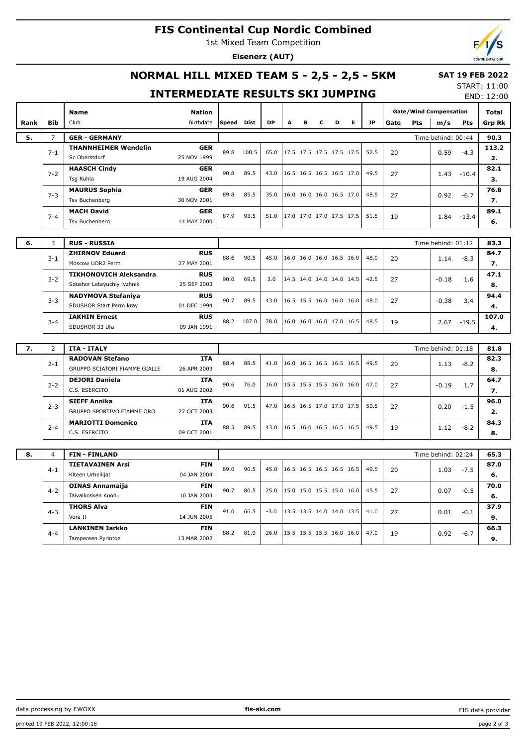# **FIS Continental Cup Nordic Combined**

1st Mixed Team Competition

**Eisenerz (AUT)**



# **NORMAL HILL MIXED TEAM 5 - 2,5 - 2,5 - 5KM**

# **INTERMEDIATE RESULTS SKI JUMPING**

START: 11:00 END: 12:00

 **SAT 19 FEB 2022**

|      |                          | <b>Name</b>                                | <b>Nation</b>             |            |            |        |                          |                          |   |                          |   |           |      |     | <b>Gate/Wind Compensation</b> |               | Total      |
|------|--------------------------|--------------------------------------------|---------------------------|------------|------------|--------|--------------------------|--------------------------|---|--------------------------|---|-----------|------|-----|-------------------------------|---------------|------------|
| Rank | <b>Bib</b>               | Club                                       | Birthdate                 | Speed Dist |            | DP     | Α                        | в                        | c | D                        | Е | <b>JP</b> | Gate | Pts | m/s                           | Pts           | Grp Rk     |
| 5.   | $\overline{7}$           | <b>GER - GERMANY</b>                       | Time behind: 00:44        |            |            |        |                          |                          |   |                          |   |           | 90.3 |     |                               |               |            |
|      | $7 - 1$                  | <b>THANNHEIMER Wendelin</b>                | <b>GER</b>                | 89.8       | 100.5      | 65.0   |                          |                          |   | 17.5 17.5 17.5 17.5 17.5 |   | 52.5      | 20   |     | 0.59                          | $-4.3$        | 113.2      |
|      |                          | Sc Oberstdorf                              | 25 NOV 1999               |            |            |        |                          |                          |   |                          |   |           |      |     |                               |               | 2.         |
|      | $7 - 2$                  | <b>HAASCH Cindy</b>                        | <b>GER</b>                | 90.8       | 89.5       | 43.0   |                          |                          |   | 16.5 16.5 16.5 16.5 17.0 |   | 49.5      | 27   |     | 1.43                          | $-10.4$       | 82.1       |
|      | Tsg Ruhla<br>19 AUG 2004 |                                            |                           |            |            |        |                          |                          |   |                          |   |           |      |     |                               | з.            |            |
|      | $7 - 3$                  | <b>MAURUS Sophia</b>                       | <b>GER</b>                | 89.8       | 85.5       | 35.0   |                          |                          |   | 16.0 16.0 16.0 16.5 17.0 |   | 48.5      | 27   |     | 0.92                          | $-6.7$        | 76.8       |
|      |                          | 30 NOV 2001<br><b>Tsv Buchenberg</b>       |                           |            |            |        |                          |                          |   |                          |   |           |      |     |                               |               | 7.         |
|      | $7 - 4$                  | <b>MACH David</b><br><b>Tsv Buchenberg</b> | <b>GER</b><br>14 MAY 2000 | 87.9       | 93.5       | 51.0   |                          |                          |   | 17.0 17.0 17.0 17.5 17.5 |   | 51.5      | 19   |     | 1.84                          | $-13.4$       | 89.1<br>6. |
|      |                          |                                            |                           |            |            |        |                          |                          |   |                          |   |           |      |     |                               |               |            |
| 6.   | 3                        | <b>RUS - RUSSIA</b>                        |                           |            |            |        |                          |                          |   |                          |   |           |      |     | Time behind: 01:12            |               | 83.3       |
|      |                          | <b>ZHIRNOV Eduard</b>                      | <b>RUS</b>                | 88.6       | 90.5       | 45.0   |                          |                          |   | 16.0 16.0 16.0 16.5 16.0 |   | 48.0      |      |     |                               |               | 84.7       |
|      | $3 - 1$                  | Moscow UOR2 Perm                           | 27 MAY 2001               |            |            |        |                          |                          |   |                          |   |           | 20   |     | 1.14                          | $-8.3$        | 7.         |
|      | $3 - 2$                  | <b>TIKHONOVICH Aleksandra</b>              | <b>RUS</b>                | 90.0       | 69.5       | 3.0    | 14.5 14.0 14.0 14.0 14.5 |                          |   |                          |   | 42.5      | 27   |     | $-0.18$                       | 1.6           | 47.1       |
|      |                          | Sdushor Letayuchiy lyzhnik                 | 25 SEP 2003               |            |            |        |                          |                          |   |                          |   |           |      |     |                               |               | 8.         |
|      | $3 - 3$                  | <b>NADYMOVA Stefaniya</b>                  | <b>RUS</b>                | 90.7       | 89.5       | 43.0   |                          | 16.5 15.5 16.0 16.0 16.0 |   |                          |   | 48.0      | 27   |     | $-0.38$                       | 3.4           | 94.4       |
|      |                          | SDUSHOR Start Perm kray                    | 01 DEC 1994               |            |            |        |                          |                          |   |                          |   |           |      |     |                               |               | 4.         |
|      | $3 - 4$                  | <b>IAKHIN Ernest</b>                       | <b>RUS</b>                |            | 88.2 107.0 | 78.0   |                          |                          |   | 16.0 16.0 16.0 17.0 16.5 |   | 48.5      | 19   |     |                               | $2.67 - 19.5$ | 107.0      |
|      |                          | SDUSHOR 33 Ufa                             | 09 JAN 1991               |            |            |        |                          |                          |   |                          |   |           |      |     |                               |               | 4.         |
| 7.   | 2                        | <b>ITA - ITALY</b>                         |                           |            |            |        |                          |                          |   |                          |   |           |      |     | Time behind: 01:18            |               | 81.8       |
|      |                          | <b>RADOVAN Stefano</b>                     | ITA                       |            |            |        |                          |                          |   |                          |   |           |      |     |                               |               | 82.3       |
|      | $2 - 1$                  | GRUPPO SCIATORI FIAMME GIALLE              | 26 APR 2003               | 88.4       | 88.5       | 41.0   |                          |                          |   | 16.0 16.5 16.5 16.5 16.5 |   | 49.5      | 20   |     | 1.13                          | $-8.2$        | 8.         |
|      | $2 - 2$                  | <b>DEJORI Daniela</b>                      | <b>ITA</b>                | 90.6       | 76.0       | 16.0   |                          |                          |   | 15.5 15.5 15.5 16.0 16.0 |   | 47.0      |      |     |                               | 1.7           | 64.7       |
|      |                          | C.S. ESERCITO                              | 01 AUG 2002               |            |            |        |                          |                          |   |                          |   |           | 27   |     | $-0.19$                       |               | 7.         |
|      | $2 - 3$                  | <b>SIEFF Annika</b>                        | <b>ITA</b>                | 90.6       | 91.5       | 47.0   |                          |                          |   | 16.5 16.5 17.0 17.0 17.5 |   | 50.5      | 27   |     | 0.20                          | $-1.5$        | 96.0       |
|      |                          | GRUPPO SPORTIVO FIAMME ORO                 | 27 OCT 2003               |            |            |        |                          |                          |   |                          |   |           |      |     |                               |               | 2.         |
|      | $2 - 4$                  | <b>MARIOTTI Domenico</b>                   | <b>ITA</b>                | 88.5       | 89.5       | 43.0   |                          |                          |   | 16.5 16.0 16.5 16.5 16.5 |   | 49.5      | 19   |     | 1.12                          | $-8.2$        | 84.3       |
|      |                          | C.S. ESERCITO                              | 09 OCT 2001               |            |            |        |                          |                          |   |                          |   |           |      |     |                               |               | 8.         |
| 8.   | $\overline{4}$           | <b>FIN - FINLAND</b>                       |                           |            |            |        |                          |                          |   |                          |   |           |      |     | Time behind: 02:24            |               | 65.3       |
|      |                          | <b>TIETAVAINEN Arsi</b>                    | <b>FIN</b>                |            |            |        |                          |                          |   |                          |   |           |      |     |                               |               | 87.0       |
|      | $4 - 1$                  | Kiteen Urheilijat                          | 04 JAN 2004               | 89.0       | 90.5       | 45.0   |                          |                          |   | 16.5 16.5 16.5 16.5 16.5 |   | 49.5      | 20   |     | 1.03                          | $-7.5$        | 6.         |
|      |                          | <b>OINAS Annamaija</b>                     | <b>FIN</b>                |            |            |        |                          |                          |   |                          |   |           | 27   |     |                               |               | 70.0       |
|      | $4 - 2$                  | Taivalkosken Kuohu                         | 10 JAN 2003               | 90.7       | 80.5       | 25.0   |                          |                          |   | 15.0 15.0 15.5 15.0 16.0 |   | 45.5      |      |     | 0.07                          | $-0.5$        | 6.         |
|      |                          | <b>THORS Alva</b>                          | <b>FIN</b>                | 91.0       | 66.5       | $-3.0$ |                          |                          |   | 13.5 13.5 14.0 14.0 13.5 |   | 41.0      | 27   |     |                               |               | 37.9       |
|      | $4 - 3$                  | Vora If                                    | 14 JUN 2005               |            |            |        |                          |                          |   |                          |   |           |      |     | 0.01                          | $-0.1$        | 9.         |
|      | $4 - 4$                  | <b>LANKINEN Jarkko</b>                     | <b>FIN</b>                | 88.2       | 81.0       | 26.0   |                          |                          |   | 15.5 15.5 15.5 16.0 16.0 |   | 47.0      | 19   |     | 0.92                          | $-6.7$        | 66.3       |
|      |                          | Tampereen Pyrintoe                         | 13 MAR 2002               |            |            |        |                          |                          |   |                          |   |           |      |     |                               |               | 9.         |